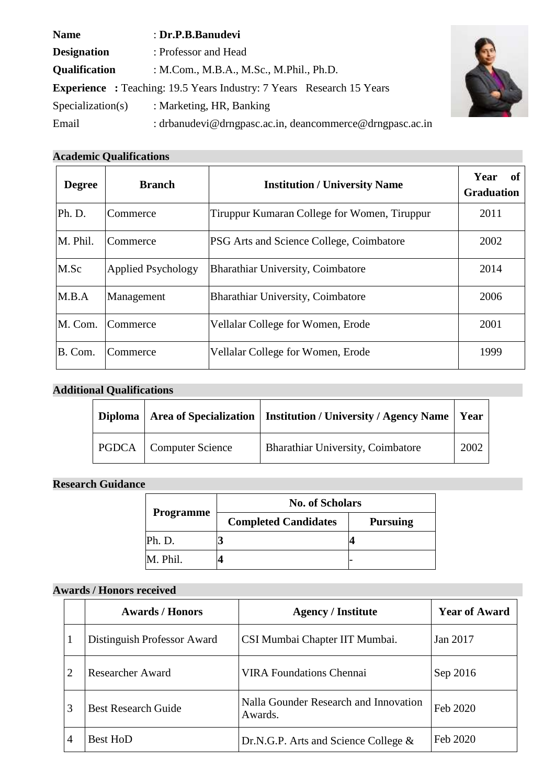| <b>Name</b>                                                                  | : Dr.P.B.Banudevi                                        |  |  |
|------------------------------------------------------------------------------|----------------------------------------------------------|--|--|
| <b>Designation</b>                                                           | : Professor and Head                                     |  |  |
| <b>Qualification</b>                                                         | : M.Com., M.B.A., M.Sc., M.Phil., Ph.D.                  |  |  |
| <b>Experience</b> : Teaching: 19.5 Years Industry: 7 Years Research 15 Years |                                                          |  |  |
| Specialization(s)                                                            | : Marketing, HR, Banking                                 |  |  |
| Email                                                                        | : drbanudevi@drngpasc.ac.in, deancommerce@drngpasc.ac.in |  |  |



| <b>Degree</b> | <b>Branch</b>             | <b>Institution / University Name</b>            | Year<br>of<br><b>Graduation</b> |
|---------------|---------------------------|-------------------------------------------------|---------------------------------|
| Ph. D.        | Commerce                  | Tiruppur Kumaran College for Women, Tiruppur    | 2011                            |
| M. Phil.      | Commerce                  | <b>PSG</b> Arts and Science College, Coimbatore | 2002                            |
| M.Sc          | <b>Applied Psychology</b> | Bharathiar University, Coimbatore               | 2014                            |
| M.B.A         | Management                | Bharathiar University, Coimbatore               | 2006                            |
| M. Com.       | Commerce                  | Vellalar College for Women, Erode               | 2001                            |
| B. Com.       | Commerce                  | Vellalar College for Women, Erode               | 1999                            |

# **Additional Qualifications**

|                                 | Diploma   Area of Specialization   Institution / University / Agency Name   Year |      |
|---------------------------------|----------------------------------------------------------------------------------|------|
| <b>PGDCA</b>   Computer Science | <b>Bharathiar University, Coimbatore</b>                                         | 2002 |

### **Research Guidance**

|                  | <b>No. of Scholars</b>      |                 |
|------------------|-----------------------------|-----------------|
| <b>Programme</b> | <b>Completed Candidates</b> | <b>Pursuing</b> |
| Ph. D.           |                             |                 |
| M. Phil.         |                             |                 |

## **Awards / Honors received**

|                | <b>Awards / Honors</b>      | <b>Agency / Institute</b>                        | <b>Year of Award</b> |
|----------------|-----------------------------|--------------------------------------------------|----------------------|
|                | Distinguish Professor Award | CSI Mumbai Chapter IIT Mumbai.                   | Jan 2017             |
| 2              | <b>Researcher Award</b>     | <b>VIRA Foundations Chennai</b>                  | Sep 2016             |
| 3              | <b>Best Research Guide</b>  | Nalla Gounder Research and Innovation<br>Awards. | Feb 2020             |
| $\overline{4}$ | <b>Best HoD</b>             | Dr.N.G.P. Arts and Science College $\&$          | Feb 2020             |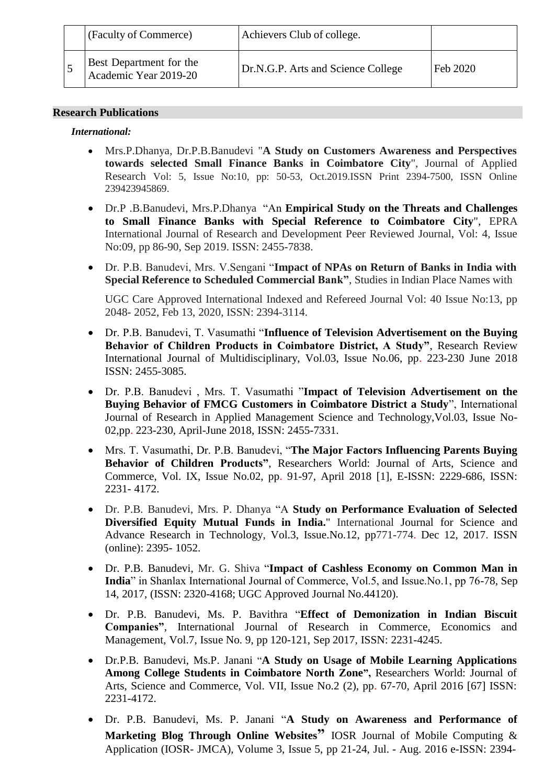| (Faculty of Commerce)                            | Achievers Club of college.         |          |
|--------------------------------------------------|------------------------------------|----------|
| Best Department for the<br>Academic Year 2019-20 | Dr.N.G.P. Arts and Science College | Feb 2020 |

#### **Research Publications**

#### *International:*

- Mrs.P.Dhanya, Dr.P.B.Banudevi "**A Study on Customers Awareness and Perspectives towards selected Small Finance Banks in Coimbatore City**", Journal of Applied Research Vol: 5, Issue No:10, pp: 50-53, Oct.2019.ISSN Print 2394-7500, ISSN Online 239423945869.
- Dr.P .B.Banudevi, Mrs.P.Dhanya "An **Empirical Study on the Threats and Challenges to Small Finance Banks with Special Reference to Coimbatore City**", EPRA International Journal of Research and Development Peer Reviewed Journal, Vol: 4, Issue No:09, pp 86-90, Sep 2019. ISSN: 2455-7838.
- Dr. P.B. Banudevi, Mrs. V.Sengani "**Impact of NPAs on Return of Banks in India with Special Reference to Scheduled Commercial Bank"**, Studies in Indian Place Names with

UGC Care Approved International Indexed and Refereed Journal Vol: 40 Issue No:13, pp 2048- 2052, Feb 13, 2020, ISSN: 2394-3114.

- Dr. P.B. Banudevi, T. Vasumathi "**Influence of Television Advertisement on the Buying Behavior of Children Products in Coimbatore District, A Study"**, Research Review International Journal of Multidisciplinary, Vol.03, Issue No.06, pp. 223-230 June 2018 ISSN: 2455-3085.
- Dr. P.B. Banudevi , Mrs. T. Vasumathi "**Impact of Television Advertisement on the Buying Behavior of FMCG Customers in Coimbatore District a Study**", International Journal of Research in Applied Management Science and Technology,Vol.03, Issue No-02,pp. 223-230, April-June 2018, ISSN: 2455-7331.
- Mrs. T. Vasumathi, Dr. P.B. Banudevi, "**The Major Factors Influencing Parents Buying Behavior of Children Products"**, Researchers World: Journal of Arts, Science and Commerce, Vol. IX, Issue No.02, pp. 91-97, April 2018 [1], E-ISSN: 2229-686, ISSN: 2231- 4172.
- Dr. P.B. Banudevi, Mrs. P. Dhanya "A **Study on Performance Evaluation of Selected Diversified Equity Mutual Funds in India.**" International Journal for Science and Advance Research in Technology, Vol.3, Issue.No.12, pp771-774. Dec 12, 2017. ISSN (online): 2395- 1052.
- Dr. P.B. Banudevi, Mr. G. Shiva "**Impact of Cashless Economy on Common Man in India**" in Shanlax International Journal of Commerce, Vol.5, and Issue.No.1, pp 76-78, Sep 14, 2017, (ISSN: 2320-4168; UGC Approved Journal No.44120).
- Dr. P.B. Banudevi, Ms. P. Bavithra "**Effect of Demonization in Indian Biscuit Companies"**, International Journal of Research in Commerce, Economics and Management, Vol.7, Issue No. 9, pp 120-121, Sep 2017, ISSN: 2231-4245.
- Dr.P.B. Banudevi, Ms.P. Janani "**A Study on Usage of Mobile Learning Applications Among College Students in Coimbatore North Zone",** Researchers World: Journal of Arts, Science and Commerce, Vol. VII, Issue No.2 (2), pp. 67-70, April 2016 [67] ISSN: 2231-4172.
- Dr. P.B. Banudevi, Ms. P. Janani "**A Study on Awareness and Performance of Marketing Blog Through Online Websites"** IOSR Journal of Mobile Computing & Application (IOSR- JMCA), Volume 3, Issue 5, pp 21-24, Jul. - Aug. 2016 e-ISSN: 2394-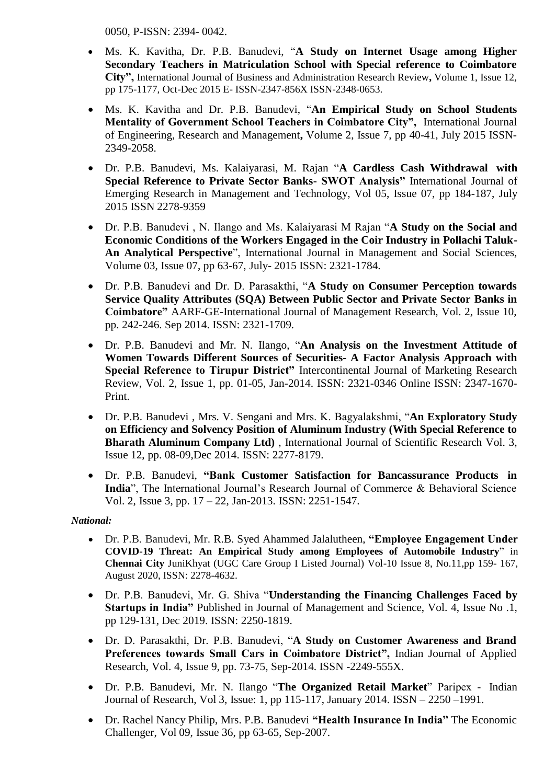0050, P-ISSN: 2394- 0042.

- Ms. K. Kavitha, Dr. P.B. Banudevi, "**A Study on Internet Usage among Higher Secondary Teachers in Matriculation School with Special reference to Coimbatore City",** International Journal of Business and Administration Research Review**,** Volume 1, Issue 12, pp 175-1177, Oct-Dec 2015 E- ISSN-2347-856X ISSN-2348-0653.
- Ms. K. Kavitha and Dr. P.B. Banudevi, "**An Empirical Study on School Students Mentality of Government School Teachers in Coimbatore City",** International Journal of Engineering, Research and Management**,** Volume 2, Issue 7, pp 40-41, July 2015 ISSN-2349-2058.
- Dr. P.B. Banudevi, Ms. Kalaiyarasi, M. Rajan "**A Cardless Cash Withdrawal with Special Reference to Private Sector Banks- SWOT Analysis"** International Journal of Emerging Research in Management and Technology, Vol 05, Issue 07, pp 184-187, July 2015 ISSN 2278-9359
- Dr. P.B. Banudevi , N. Ilango and Ms. Kalaiyarasi M Rajan "**A Study on the Social and Economic Conditions of the Workers Engaged in the Coir Industry in Pollachi Taluk-An Analytical Perspective**", International Journal in Management and Social Sciences, Volume 03, Issue 07, pp 63-67, July- 2015 ISSN: 2321-1784.
- Dr. P.B. Banudevi and Dr. D. Parasakthi, "**A Study on Consumer Perception towards Service Quality Attributes (SQA) Between Public Sector and Private Sector Banks in Coimbatore"** AARF-GE-International Journal of Management Research, Vol. 2, Issue 10, pp. 242-246. Sep 2014. ISSN: 2321-1709.
- Dr. P.B. Banudevi and Mr. N. Ilango, "**An Analysis on the Investment Attitude of Women Towards Different Sources of Securities- A Factor Analysis Approach with Special Reference to Tirupur District"** Intercontinental Journal of Marketing Research Review, Vol. 2, Issue 1, pp. 01-05, Jan-2014. ISSN: 2321-0346 Online ISSN: 2347-1670- Print.
- Dr. P.B. Banudevi , Mrs. V. Sengani and Mrs. K. Bagyalakshmi, "**An Exploratory Study on Efficiency and Solvency Position of Aluminum Industry (With Special Reference to Bharath Aluminum Company Ltd)** , International Journal of Scientific Research Vol. 3, Issue 12, pp. 08-09,Dec 2014. ISSN: 2277-8179.
- Dr. P.B. Banudevi, **"Bank Customer Satisfaction for Bancassurance Products in India**", The International Journal's Research Journal of Commerce & Behavioral Science Vol. 2, Issue 3, pp. 17 – 22, Jan-2013. ISSN: 2251-1547.

#### *National:*

- Dr. P.B. Banudevi, Mr. R.B. Syed Ahammed Jalalutheen, **"Employee Engagement Under COVID-19 Threat: An Empirical Study among Employees of Automobile Industry**" in **Chennai City** JuniKhyat (UGC Care Group I Listed Journal) Vol-10 Issue 8, No.11,pp 159- 167, August 2020, ISSN: 2278-4632.
- Dr. P.B. Banudevi, Mr. G. Shiva "**Understanding the Financing Challenges Faced by Startups in India"** Published in Journal of Management and Science, Vol. 4, Issue No .1, pp 129-131, Dec 2019. ISSN: 2250-1819.
- Dr. D. Parasakthi, Dr. P.B. Banudevi, "**A Study on Customer Awareness and Brand Preferences towards Small Cars in Coimbatore District",** Indian Journal of Applied Research, Vol. 4, Issue 9, pp. 73-75, Sep-2014. ISSN -2249-555X.
- Dr. P.B. Banudevi, Mr. N. Ilango "**The Organized Retail Market**" Paripex Indian Journal of Research, Vol 3, Issue: 1, pp 115-117, January 2014. ISSN – 2250 –1991.
- Dr. Rachel Nancy Philip, Mrs. P.B. Banudevi **"Health Insurance In India"** The Economic Challenger, Vol 09, Issue 36, pp 63-65, Sep-2007.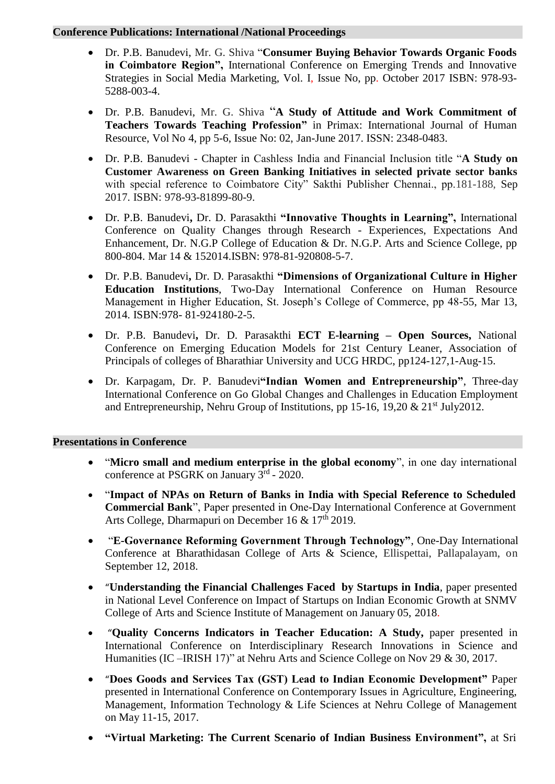#### **Conference Publications: International /National Proceedings**

- Dr. P.B. Banudevi, Mr. G. Shiva "**Consumer Buying Behavior Towards Organic Foods in Coimbatore Region",** International Conference on Emerging Trends and Innovative Strategies in Social Media Marketing, Vol. I, Issue No, pp. October 2017 ISBN: 978-93- 5288-003-4.
- Dr. P.B. Banudevi, Mr. G. Shiva "**A Study of Attitude and Work Commitment of Teachers Towards Teaching Profession"** in Primax: International Journal of Human Resource, Vol No 4, pp 5-6, Issue No: 02, Jan-June 2017. ISSN: 2348-0483.
- Dr. P.B. Banudevi Chapter in Cashless India and Financial Inclusion title "**A Study on Customer Awareness on Green Banking Initiatives in selected private sector banks** with special reference to Coimbatore City" Sakthi Publisher Chennai., pp.181-188, Sep 2017. ISBN: 978-93-81899-80-9.
- Dr. P.B. Banudevi**,** Dr. D. Parasakthi **"Innovative Thoughts in Learning",** International Conference on Quality Changes through Research - Experiences, Expectations And Enhancement, Dr. N.G.P College of Education & Dr. N.G.P. Arts and Science College, pp 800-804. Mar 14 & 152014.ISBN: 978-81-920808-5-7.
- Dr. P.B. Banudevi**,** Dr. D. Parasakthi **"Dimensions of Organizational Culture in Higher Education Institutions**, Two-Day International Conference on Human Resource Management in Higher Education, St. Joseph's College of Commerce, pp 48-55, Mar 13, 2014. ISBN:978- 81-924180-2-5.
- Dr. P.B. Banudevi**,** Dr. D. Parasakthi **ECT E-learning – Open Sources,** National Conference on Emerging Education Models for 21st Century Leaner, Association of Principals of colleges of Bharathiar University and UCG HRDC, pp124-127,1-Aug-15.
- Dr. Karpagam, Dr. P. Banudevi**"Indian Women and Entrepreneurship"**, Three-day International Conference on Go Global Changes and Challenges in Education Employment and Entrepreneurship, Nehru Group of Institutions, pp 15-16, 19,20 & 21st July2012.

#### **Presentations in Conference**

- "**Micro small and medium enterprise in the global economy**", in one day international conference at PSGRK on January 3rd - 2020.
- "**Impact of NPAs on Return of Banks in India with Special Reference to Scheduled Commercial Bank**", Paper presented in One-Day International Conference at Government Arts College, Dharmapuri on December 16 & 17<sup>th</sup> 2019.
- "**E-Governance Reforming Government Through Technology"**, One-Day International Conference at Bharathidasan College of Arts & Science, Ellispettai, Pallapalayam, on September 12, 2018.
- "**Understanding the Financial Challenges Faced by Startups in India**, paper presented in National Level Conference on Impact of Startups on Indian Economic Growth at SNMV College of Arts and Science Institute of Management on January 05, 2018.
- "**Quality Concerns Indicators in Teacher Education: A Study,** paper presented in International Conference on Interdisciplinary Research Innovations in Science and Humanities (IC –IRISH 17)" at Nehru Arts and Science College on Nov 29 & 30, 2017.
- "**Does Goods and Services Tax (GST) Lead to Indian Economic Development"** Paper presented in International Conference on Contemporary Issues in Agriculture, Engineering, Management, Information Technology & Life Sciences at Nehru College of Management on May 11-15, 2017.
- **"Virtual Marketing: The Current Scenario of Indian Business Environment",** at Sri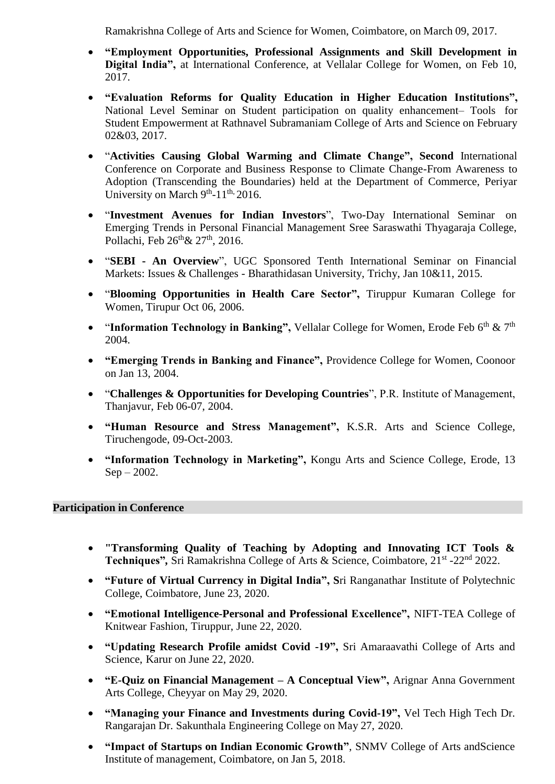Ramakrishna College of Arts and Science for Women, Coimbatore, on March 09, 2017.

- **"Employment Opportunities, Professional Assignments and Skill Development in Digital India",** at International Conference, at Vellalar College for Women, on Feb 10, 2017.
- **"Evaluation Reforms for Quality Education in Higher Education Institutions",** National Level Seminar on Student participation on quality enhancement– Tools for Student Empowerment at Rathnavel Subramaniam College of Arts and Science on February 02&03, 2017.
- "**Activities Causing Global Warming and Climate Change", Second** International Conference on Corporate and Business Response to Climate Change-From Awareness to Adoption (Transcending the Boundaries) held at the Department of Commerce, Periyar University on March  $9<sup>th</sup>$ -11<sup>th,</sup> 2016.
- "**Investment Avenues for Indian Investors**", Two-Day International Seminar on Emerging Trends in Personal Financial Management Sree Saraswathi Thyagaraja College, Pollachi, Feb 26<sup>th</sup> & 27<sup>th</sup>, 2016.
- "**SEBI - An Overview**", UGC Sponsored Tenth International Seminar on Financial Markets: Issues & Challenges - Bharathidasan University, Trichy, Jan 10&11, 2015.
- "**Blooming Opportunities in Health Care Sector",** Tiruppur Kumaran College for Women, Tirupur Oct 06, 2006.
- "Information Technology in Banking", Vellalar College for Women, Erode Feb 6<sup>th</sup> & 7<sup>th</sup> 2004.
- **"Emerging Trends in Banking and Finance",** Providence College for Women, Coonoor on Jan 13, 2004.
- "**Challenges & Opportunities for Developing Countries**", P.R. Institute of Management, Thanjavur, Feb 06-07, 2004.
- **"Human Resource and Stress Management",** K.S.R. Arts and Science College, Tiruchengode, 09-Oct-2003.
- **"Information Technology in Marketing",** Kongu Arts and Science College, Erode, 13 Sep – 2002.

#### **Participation in Conference**

- **"Transforming Quality of Teaching by Adopting and Innovating ICT Tools &**  Techniques", Sri Ramakrishna College of Arts & Science, Coimbatore, 21<sup>st</sup> -22<sup>nd</sup> 2022.
- **"Future of Virtual Currency in Digital India", S**ri Ranganathar Institute of Polytechnic College, Coimbatore, June 23, 2020.
- **"Emotional Intelligence-Personal and Professional Excellence",** NIFT-TEA College of Knitwear Fashion, Tiruppur, June 22, 2020.
- **"Updating Research Profile amidst Covid -19",** Sri Amaraavathi College of Arts and Science, Karur on June 22, 2020.
- **"E-Quiz on Financial Management – A Conceptual View",** Arignar Anna Government Arts College, Cheyyar on May 29, 2020.
- **"Managing your Finance and Investments during Covid-19",** Vel Tech High Tech Dr. Rangarajan Dr. Sakunthala Engineering College on May 27, 2020.
- **"Impact of Startups on Indian Economic Growth"**, SNMV College of Arts andScience Institute of management, Coimbatore, on Jan 5, 2018.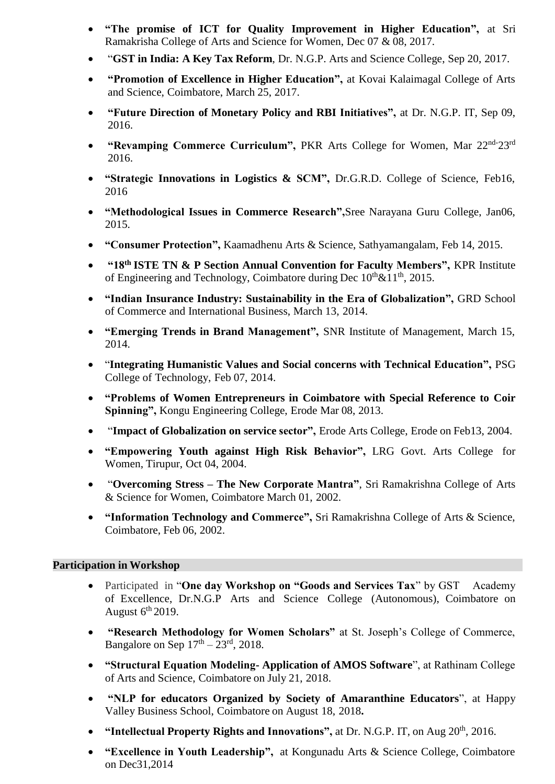- **"The promise of ICT for Quality Improvement in Higher Education",** at Sri Ramakrisha College of Arts and Science for Women, Dec 07 & 08, 2017.
- "**GST in India: A Key Tax Reform**, Dr. N.G.P. Arts and Science College, Sep 20, 2017.
- **"Promotion of Excellence in Higher Education",** at Kovai Kalaimagal College of Arts and Science, Coimbatore, March 25, 2017.
- **"Future Direction of Monetary Policy and RBI Initiatives",** at Dr. N.G.P. IT, Sep 09, 2016.
- **"Revamping Commerce Curriculum",** PKR Arts College for Women, Mar 22nd-23rd 2016.
- **"Strategic Innovations in Logistics & SCM",** Dr.G.R.D. College of Science, Feb16, 2016
- **"Methodological Issues in Commerce Research",**Sree Narayana Guru College, Jan06, 2015.
- **"Consumer Protection",** Kaamadhenu Arts & Science, Sathyamangalam, Feb 14, 2015.
- **"18th ISTE TN & P Section Annual Convention for Faculty Members",** KPR Institute of Engineering and Technology, Coimbatore during Dec  $10^{th}\&11^{th}$ , 2015.
- **"Indian Insurance Industry: Sustainability in the Era of Globalization",** GRD School of Commerce and International Business, March 13, 2014.
- **"Emerging Trends in Brand Management",** SNR Institute of Management, March 15, 2014.
- "**Integrating Humanistic Values and Social concerns with Technical Education",** PSG College of Technology, Feb 07, 2014.
- **"Problems of Women Entrepreneurs in Coimbatore with Special Reference to Coir Spinning",** Kongu Engineering College, Erode Mar 08, 2013.
- "**Impact of Globalization on service sector",** Erode Arts College, Erode on Feb13, 2004.
- **"Empowering Youth against High Risk Behavior",** LRG Govt. Arts College for Women, Tirupur, Oct 04, 2004.
- "**Overcoming Stress – The New Corporate Mantra"**, Sri Ramakrishna College of Arts & Science for Women, Coimbatore March 01, 2002.
- **"Information Technology and Commerce",** Sri Ramakrishna College of Arts & Science, Coimbatore, Feb 06, 2002.

#### **Participation in Workshop**

- Participated in "**One day Workshop on "Goods and Services Tax**" by GST Academy of Excellence, Dr.N.G.P Arts and Science College (Autonomous), Coimbatore on August  $6<sup>th</sup>$  2019.
- **"Research Methodology for Women Scholars"** at St. Joseph's College of Commerce, Bangalore on Sep  $17<sup>th</sup> - 23<sup>rd</sup>$ , 2018.
- **"Structural Equation Modeling- Application of AMOS Software**", at Rathinam College of Arts and Science, Coimbatore on July 21, 2018.
- **"NLP for educators Organized by Society of Amaranthine Educators**", at Happy Valley Business School, Coimbatore on August 18, 2018**.**
- "Intellectual Property Rights and Innovations", at Dr. N.G.P. IT, on Aug 20<sup>th</sup>, 2016.
- **"Excellence in Youth Leadership",** at Kongunadu Arts & Science College, Coimbatore on Dec31,2014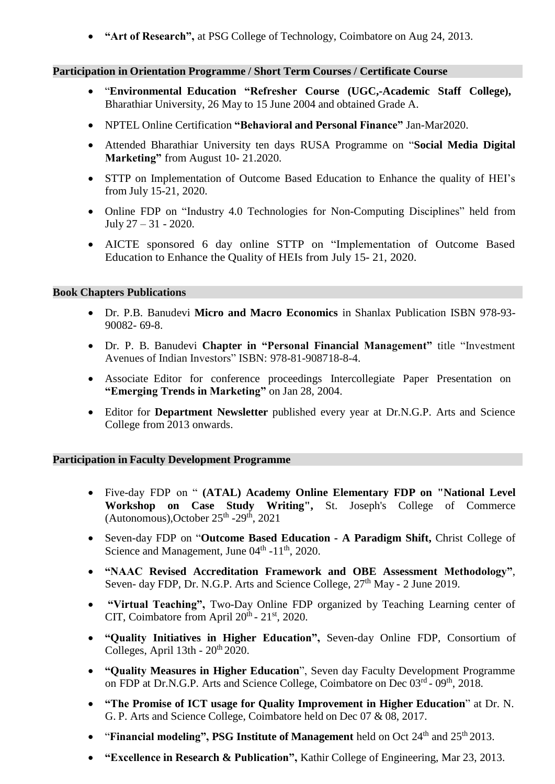• **"Art of Research",** at PSG College of Technology, Coimbatore on Aug 24, 2013.

#### **Participation in Orientation Programme / Short Term Courses / Certificate Course**

- "**Environmental Education "Refresher Course (UGC,-Academic Staff College),** Bharathiar University, 26 May to 15 June 2004 and obtained Grade A.
- NPTEL Online Certification **"Behavioral and Personal Finance"** Jan-Mar2020.
- Attended Bharathiar University ten days RUSA Programme on "**Social Media Digital Marketing"** from August 10- 21.2020.
- STTP on Implementation of Outcome Based Education to Enhance the quality of HEI's from July 15-21, 2020.
- Online FDP on "Industry 4.0 Technologies for Non-Computing Disciplines" held from July 27 – 31 - 2020.
- AICTE sponsored 6 day online STTP on "Implementation of Outcome Based Education to Enhance the Quality of HEIs from July 15- 21, 2020.

#### **Book Chapters Publications**

- Dr. P.B. Banudevi **Micro and Macro Economics** in Shanlax Publication ISBN 978-93- 90082- 69-8.
- Dr. P. B. Banudevi **Chapter in "Personal Financial Management"** title "Investment Avenues of Indian Investors" ISBN: 978-81-908718-8-4.
- Associate Editor for conference proceedings Intercollegiate Paper Presentation on **"Emerging Trends in Marketing"** on Jan 28, 2004.
- Editor for **Department Newsletter** published every year at Dr.N.G.P. Arts and Science College from 2013 onwards.

#### **Participation in Faculty Development Programme**

- Five-day FDP on " **(ATAL) Academy Online Elementary FDP on "National Level Workshop on Case Study Writing",** St. Joseph's College of Commerce  $(Autonomous)$ , October  $25<sup>th</sup> - 29<sup>th</sup>$ , 2021
- Seven-day FDP on "**Outcome Based Education - A Paradigm Shift,** Christ College of Science and Management, June  $04<sup>th</sup>$  -11<sup>th</sup>, 2020.
- **"NAAC Revised Accreditation Framework and OBE Assessment Methodology"**, Seven- day FDP, Dr. N.G.P. Arts and Science College,  $27<sup>th</sup>$  May - 2 June 2019.
- **"Virtual Teaching",** Two-Day Online FDP organized by Teaching Learning center of CIT, Coimbatore from April  $20^{th}$  -  $21^{st}$ , 2020.
- **"Quality Initiatives in Higher Education",** Seven-day Online FDP, Consortium of Colleges, April  $13th - 20<sup>th</sup> 2020$ .
- **"Quality Measures in Higher Education**", Seven day Faculty Development Programme on FDP at Dr.N.G.P. Arts and Science College, Coimbatore on Dec 03<sup>rd</sup> - 09<sup>th</sup>, 2018.
- **"The Promise of ICT usage for Quality Improvement in Higher Education**" at Dr. N. G. P. Arts and Science College, Coimbatore held on Dec 07 & 08, 2017.
- "**Financial modeling", PSG Institute of Management** held on Oct 24th and 25th 2013.
- **"Excellence in Research & Publication",** Kathir College of Engineering, Mar 23, 2013.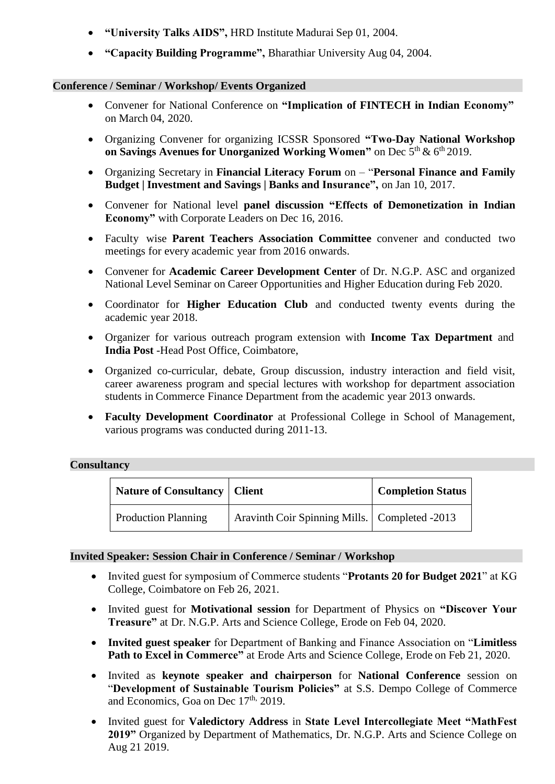- **"University Talks AIDS",** HRD Institute Madurai Sep 01, 2004.
- **"Capacity Building Programme",** Bharathiar University Aug 04, 2004.

#### **Conference / Seminar / Workshop/ Events Organized**

- Convener for National Conference on **"Implication of FINTECH in Indian Economy"** on March 04, 2020.
- Organizing Convener for organizing ICSSR Sponsored **"Two-Day National Workshop on Savings Avenues for Unorganized Working Women"** on Dec 5 th & 6 th 2019.
- Organizing Secretary in **Financial Literacy Forum** on "**Personal Finance and Family Budget | Investment and Savings | Banks and Insurance",** on Jan 10, 2017.
- Convener for National level **panel discussion "Effects of Demonetization in Indian Economy"** with Corporate Leaders on Dec 16, 2016.
- Faculty wise **Parent Teachers Association Committee** convener and conducted two meetings for every academic year from 2016 onwards.
- Convener for **Academic Career Development Center** of Dr. N.G.P. ASC and organized National Level Seminar on Career Opportunities and Higher Education during Feb 2020.
- Coordinator for **Higher Education Club** and conducted twenty events during the academic year 2018.
- Organizer for various outreach program extension with **Income Tax Department** and **India Post** -Head Post Office, Coimbatore,
- Organized co-curricular, debate, Group discussion, industry interaction and field visit, career awareness program and special lectures with workshop for department association students in Commerce Finance Department from the academic year 2013 onwards.
- **Faculty Development Coordinator** at Professional College in School of Management, various programs was conducted during 2011-13.

#### **Consultancy**

| <b>Nature of Consultancy   Client</b> |                                                 | <b>Completion Status</b> |
|---------------------------------------|-------------------------------------------------|--------------------------|
| <b>Production Planning</b>            | Aravinth Coir Spinning Mills.   Completed -2013 |                          |

#### **Invited Speaker: Session Chair in Conference / Seminar / Workshop**

- Invited guest for symposium of Commerce students "**Protants 20 for Budget 2021**" at KG College, Coimbatore on Feb 26, 2021.
- Invited guest for **Motivational session** for Department of Physics on **"Discover Your Treasure"** at Dr. N.G.P. Arts and Science College, Erode on Feb 04, 2020.
- **Invited guest speaker** for Department of Banking and Finance Association on "**Limitless Path to Excel in Commerce"** at Erode Arts and Science College, Erode on Feb 21, 2020.
- Invited as **keynote speaker and chairperson** for **National Conference** session on "**Development of Sustainable Tourism Policies"** at S.S. Dempo College of Commerce and Economics, Goa on Dec 17<sup>th, 2019</sup>.
- Invited guest for **Valedictory Address** in **State Level Intercollegiate Meet "MathFest 2019"** Organized by Department of Mathematics, Dr. N.G.P. Arts and Science College on Aug 21 2019.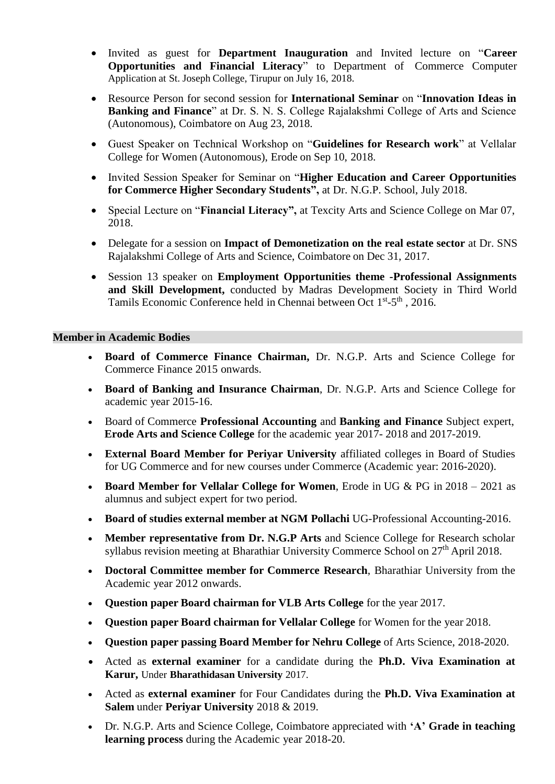- Invited as guest for **Department Inauguration** and Invited lecture on "**Career Opportunities and Financial Literacy**" to Department of Commerce Computer Application at St. Joseph College, Tirupur on July 16, 2018.
- Resource Person for second session for **International Seminar** on "**Innovation Ideas in Banking and Finance**" at Dr. S. N. S. College Rajalakshmi College of Arts and Science (Autonomous), Coimbatore on Aug 23, 2018.
- Guest Speaker on Technical Workshop on "**Guidelines for Research work**" at Vellalar College for Women (Autonomous), Erode on Sep 10, 2018.
- Invited Session Speaker for Seminar on "**Higher Education and Career Opportunities for Commerce Higher Secondary Students",** at Dr. N.G.P. School, July 2018.
- Special Lecture on "**Financial Literacy",** at Texcity Arts and Science College on Mar 07, 2018.
- Delegate for a session on **Impact of Demonetization on the real estate sector** at Dr. SNS Rajalakshmi College of Arts and Science, Coimbatore on Dec 31, 2017.
- Session 13 speaker on **Employment Opportunities theme -Professional Assignments and Skill Development,** conducted by Madras Development Society in Third World Tamils Economic Conference held in Chennai between Oct 1<sup>st</sup>-5<sup>th</sup>, 2016.

#### **Member in Academic Bodies**

- **Board of Commerce Finance Chairman,** Dr. N.G.P. Arts and Science College for Commerce Finance 2015 onwards.
- **Board of Banking and Insurance Chairman**, Dr. N.G.P. Arts and Science College for academic year 2015-16.
- Board of Commerce **Professional Accounting** and **Banking and Finance** Subject expert, **Erode Arts and Science College** for the academic year 2017- 2018 and 2017-2019.
- **External Board Member for Periyar University** affiliated colleges in Board of Studies for UG Commerce and for new courses under Commerce (Academic year: 2016-2020).
- **Board Member for Vellalar College for Women**, Erode in UG & PG in 2018 2021 as alumnus and subject expert for two period.
- **Board of studies external member at NGM Pollachi** UG-Professional Accounting-2016.
- **Member representative from Dr. N.G.P Arts** and Science College for Research scholar syllabus revision meeting at Bharathiar University Commerce School on 27<sup>th</sup> April 2018.
- **Doctoral Committee member for Commerce Research**, Bharathiar University from the Academic year 2012 onwards.
- **Question paper Board chairman for VLB Arts College** for the year 2017.
- **Question paper Board chairman for Vellalar College** for Women for the year 2018.
- **Question paper passing Board Member for Nehru College** of Arts Science, 2018-2020.
- Acted as **external examiner** for a candidate during the **Ph.D. Viva Examination at Karur,** Under **Bharathidasan University** 2017.
- Acted as **external examiner** for Four Candidates during the **Ph.D. Viva Examination at Salem** under **Periyar University** 2018 & 2019.
- Dr. N.G.P. Arts and Science College, Coimbatore appreciated with **'A' Grade in teaching learning process** during the Academic year 2018-20.